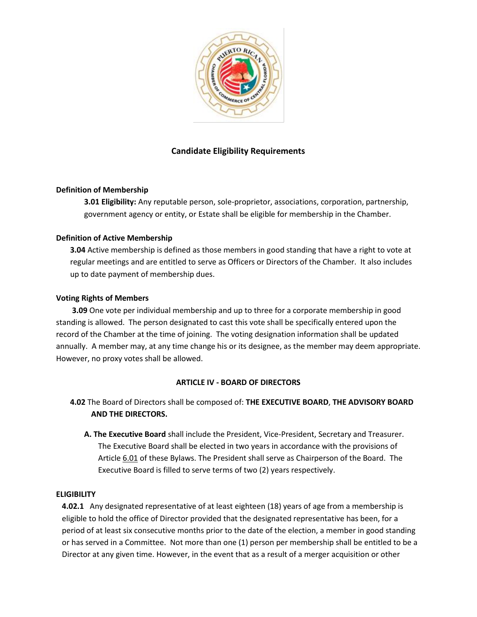

# **Candidate Eligibility Requirements**

# **Definition of Membership**

**3.01 Eligibility:** Any reputable person, sole-proprietor, associations, corporation, partnership, government agency or entity, or Estate shall be eligible for membership in the Chamber.

# **Definition of Active Membership**

**3.04** Active membership is defined as those members in good standing that have a right to vote at regular meetings and are entitled to serve as Officers or Directors of the Chamber. It also includes up to date payment of membership dues.

### **Voting Rights of Members**

**3.09** One vote per individual membership and up to three for a corporate membership in good standing is allowed. The person designated to cast this vote shall be specifically entered upon the record of the Chamber at the time of joining. The voting designation information shall be updated annually. A member may, at any time change his or its designee, as the member may deem appropriate. However, no proxy votes shall be allowed.

# **ARTICLE IV - BOARD OF DIRECTORS**

- **4.02** The Board of Directors shall be composed of: **THE EXECUTIVE BOARD**, **THE ADVISORY BOARD AND THE DIRECTORS.** 
	- **A. The Executive Board** shall include the President, Vice-President, Secretary and Treasurer. The Executive Board shall be elected in two years in accordance with the provisions of Article 6.01 of these Bylaws. The President shall serve as Chairperson of the Board. The Executive Board is filled to serve terms of two (2) years respectively.

### **ELIGIBILITY**

**4.02.1** Any designated representative of at least eighteen (18) years of age from a membership is eligible to hold the office of Director provided that the designated representative has been, for a period of at least six consecutive months prior to the date of the election, a member in good standing or has served in a Committee. Not more than one (1) person per membership shall be entitled to be a Director at any given time. However, in the event that as a result of a merger acquisition or other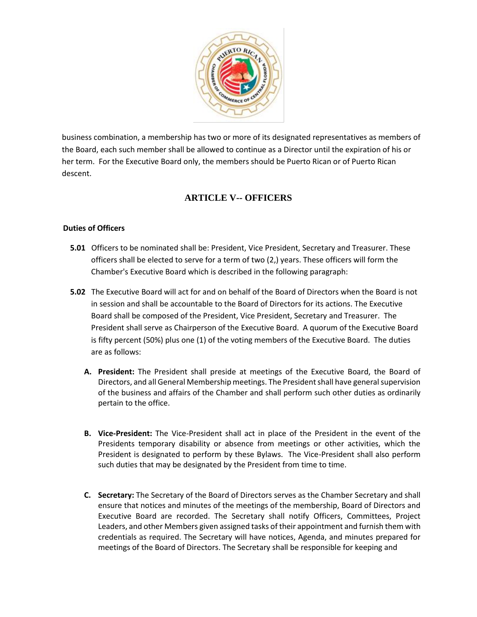

business combination, a membership has two or more of its designated representatives as members of the Board, each such member shall be allowed to continue as a Director until the expiration of his or her term. For the Executive Board only, the members should be Puerto Rican or of Puerto Rican descent.

# **ARTICLE V-- OFFICERS**

# **Duties of Officers**

- **5.01** Officers to be nominated shall be: President, Vice President, Secretary and Treasurer. These officers shall be elected to serve for a term of two (2,) years. These officers will form the Chamber's Executive Board which is described in the following paragraph:
- **5.02** The Executive Board will act for and on behalf of the Board of Directors when the Board is not in session and shall be accountable to the Board of Directors for its actions. The Executive Board shall be composed of the President, Vice President, Secretary and Treasurer. The President shall serve as Chairperson of the Executive Board. A quorum of the Executive Board is fifty percent (50%) plus one (1) of the voting members of the Executive Board. The duties are as follows:
	- **A. President:** The President shall preside at meetings of the Executive Board, the Board of Directors, and all General Membership meetings. The President shall have general supervision of the business and affairs of the Chamber and shall perform such other duties as ordinarily pertain to the office.
	- **B. Vice-President:** The Vice-President shall act in place of the President in the event of the Presidents temporary disability or absence from meetings or other activities, which the President is designated to perform by these Bylaws. The Vice-President shall also perform such duties that may be designated by the President from time to time.
	- **C. Secretary:** The Secretary of the Board of Directors serves as the Chamber Secretary and shall ensure that notices and minutes of the meetings of the membership, Board of Directors and Executive Board are recorded. The Secretary shall notify Officers, Committees, Project Leaders, and other Members given assigned tasks of their appointment and furnish them with credentials as required. The Secretary will have notices, Agenda, and minutes prepared for meetings of the Board of Directors. The Secretary shall be responsible for keeping and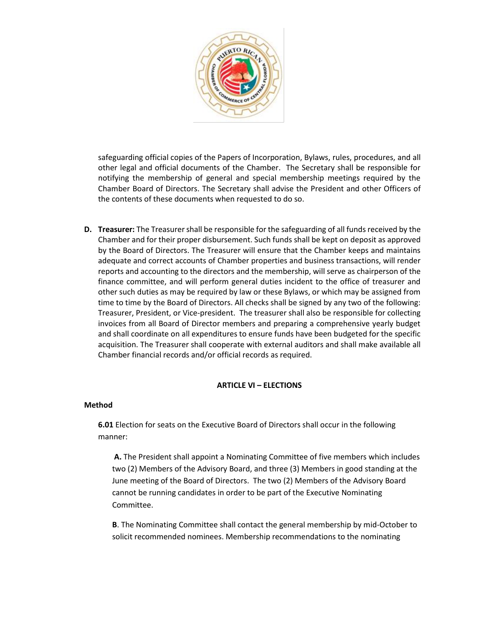

safeguarding official copies of the Papers of Incorporation, Bylaws, rules, procedures, and all other legal and official documents of the Chamber. The Secretary shall be responsible for notifying the membership of general and special membership meetings required by the Chamber Board of Directors. The Secretary shall advise the President and other Officers of the contents of these documents when requested to do so.

**D. Treasurer:** The Treasurer shall be responsible for the safeguarding of all funds received by the Chamber and for their proper disbursement. Such funds shall be kept on deposit as approved by the Board of Directors. The Treasurer will ensure that the Chamber keeps and maintains adequate and correct accounts of Chamber properties and business transactions, will render reports and accounting to the directors and the membership, will serve as chairperson of the finance committee, and will perform general duties incident to the office of treasurer and other such duties as may be required by law or these Bylaws, or which may be assigned from time to time by the Board of Directors. All checks shall be signed by any two of the following: Treasurer, President, or Vice-president. The treasurer shall also be responsible for collecting invoices from all Board of Director members and preparing a comprehensive yearly budget and shall coordinate on all expenditures to ensure funds have been budgeted for the specific acquisition. The Treasurer shall cooperate with external auditors and shall make available all Chamber financial records and/or official records as required.

### **ARTICLE VI – ELECTIONS**

### **Method**

**6.01** Election for seats on the Executive Board of Directors shall occur in the following manner:

**A.** The President shall appoint a Nominating Committee of five members which includes two (2) Members of the Advisory Board, and three (3) Members in good standing at the June meeting of the Board of Directors. The two (2) Members of the Advisory Board cannot be running candidates in order to be part of the Executive Nominating Committee.

**B**. The Nominating Committee shall contact the general membership by mid-October to solicit recommended nominees. Membership recommendations to the nominating